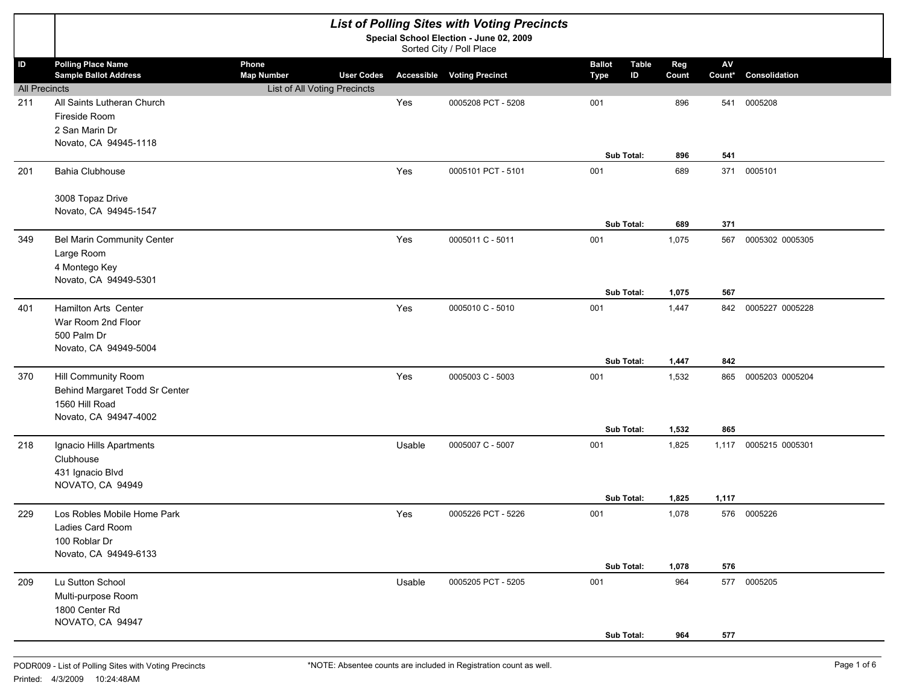|                      |                                        |                              |                   |        | <b>List of Polling Sites with Voting Precincts</b><br>Special School Election - June 02, 2009 |                               |       |                        |                 |
|----------------------|----------------------------------------|------------------------------|-------------------|--------|-----------------------------------------------------------------------------------------------|-------------------------------|-------|------------------------|-----------------|
|                      |                                        |                              |                   |        | Sorted City / Poll Place                                                                      |                               |       |                        |                 |
| $\mathsf{ID}$        | <b>Polling Place Name</b>              | Phone                        |                   |        |                                                                                               | <b>Ballot</b><br><b>Table</b> | Reg   | $\mathsf{A}\mathsf{V}$ |                 |
|                      | <b>Sample Ballot Address</b>           | <b>Map Number</b>            | <b>User Codes</b> |        | <b>Accessible Voting Precinct</b>                                                             | ID<br><b>Type</b>             | Count | Count*                 | Consolidation   |
| <b>All Precincts</b> | All Saints Lutheran Church             | List of All Voting Precincts |                   | Yes    | 0005208 PCT - 5208                                                                            | 001                           |       |                        | 0005208         |
| 211                  | Fireside Room                          |                              |                   |        |                                                                                               |                               | 896   | 541                    |                 |
|                      | 2 San Marin Dr                         |                              |                   |        |                                                                                               |                               |       |                        |                 |
|                      | Novato, CA 94945-1118                  |                              |                   |        |                                                                                               |                               |       |                        |                 |
|                      |                                        |                              |                   |        |                                                                                               | Sub Total:                    | 896   | 541                    |                 |
| 201                  | Bahia Clubhouse                        |                              |                   | Yes    | 0005101 PCT - 5101                                                                            | 001                           | 689   | 371                    | 0005101         |
|                      | 3008 Topaz Drive                       |                              |                   |        |                                                                                               |                               |       |                        |                 |
|                      | Novato, CA 94945-1547                  |                              |                   |        |                                                                                               |                               |       |                        |                 |
|                      |                                        |                              |                   |        |                                                                                               | Sub Total:                    | 689   | 371                    |                 |
| 349                  | <b>Bel Marin Community Center</b>      |                              |                   | Yes    | 0005011 C - 5011                                                                              | 001                           | 1,075 | 567                    | 0005302 0005305 |
|                      | Large Room                             |                              |                   |        |                                                                                               |                               |       |                        |                 |
|                      | 4 Montego Key                          |                              |                   |        |                                                                                               |                               |       |                        |                 |
|                      | Novato, CA 94949-5301                  |                              |                   |        |                                                                                               |                               |       |                        |                 |
|                      |                                        |                              |                   |        |                                                                                               | Sub Total:                    | 1,075 | 567                    |                 |
| 401                  | Hamilton Arts Center                   |                              |                   | Yes    | 0005010 C - 5010                                                                              | 001                           | 1,447 | 842                    | 0005227 0005228 |
|                      | War Room 2nd Floor                     |                              |                   |        |                                                                                               |                               |       |                        |                 |
|                      | 500 Palm Dr                            |                              |                   |        |                                                                                               |                               |       |                        |                 |
|                      | Novato, CA 94949-5004                  |                              |                   |        |                                                                                               |                               |       |                        |                 |
|                      |                                        |                              |                   |        |                                                                                               | Sub Total:                    | 1,447 | 842                    |                 |
| 370                  | Hill Community Room                    |                              |                   | Yes    | 0005003 C - 5003                                                                              | 001                           | 1,532 | 865                    | 0005203 0005204 |
|                      | Behind Margaret Todd Sr Center         |                              |                   |        |                                                                                               |                               |       |                        |                 |
|                      | 1560 Hill Road                         |                              |                   |        |                                                                                               |                               |       |                        |                 |
|                      | Novato, CA 94947-4002                  |                              |                   |        |                                                                                               |                               |       |                        |                 |
|                      |                                        |                              |                   |        |                                                                                               | Sub Total:                    | 1,532 | 865                    |                 |
| 218                  | Ignacio Hills Apartments               |                              |                   | Usable | 0005007 C - 5007                                                                              | 001                           | 1,825 | 1,117                  | 0005215 0005301 |
|                      | Clubhouse                              |                              |                   |        |                                                                                               |                               |       |                        |                 |
|                      | 431 Ignacio Blvd                       |                              |                   |        |                                                                                               |                               |       |                        |                 |
|                      | NOVATO, CA 94949                       |                              |                   |        |                                                                                               |                               |       |                        |                 |
|                      |                                        |                              |                   |        |                                                                                               | Sub Total:                    | 1,825 | 1,117                  |                 |
| 229                  | Los Robles Mobile Home Park            |                              |                   | Yes    | 0005226 PCT - 5226                                                                            | 001                           | 1,078 |                        | 576 0005226     |
|                      | Ladies Card Room                       |                              |                   |        |                                                                                               |                               |       |                        |                 |
|                      | 100 Roblar Dr<br>Novato, CA 94949-6133 |                              |                   |        |                                                                                               |                               |       |                        |                 |
|                      |                                        |                              |                   |        |                                                                                               | Sub Total:                    | 1,078 | 576                    |                 |
|                      |                                        |                              |                   |        | 0005205 PCT - 5205                                                                            | 001                           | 964   |                        | 577 0005205     |
| 209                  | Lu Sutton School<br>Multi-purpose Room |                              |                   | Usable |                                                                                               |                               |       |                        |                 |
|                      | 1800 Center Rd                         |                              |                   |        |                                                                                               |                               |       |                        |                 |
|                      | NOVATO, CA 94947                       |                              |                   |        |                                                                                               |                               |       |                        |                 |
|                      |                                        |                              |                   |        |                                                                                               | Sub Total:                    | 964   | 577                    |                 |
|                      |                                        |                              |                   |        |                                                                                               |                               |       |                        |                 |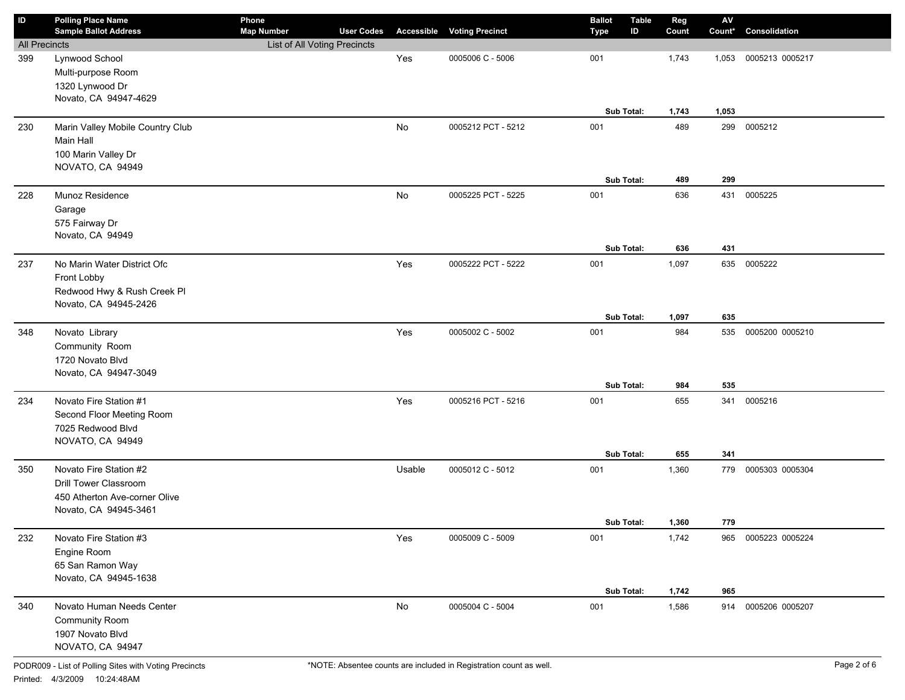| ID                   | <b>Polling Place Name</b><br><b>Sample Ballot Address</b> | Phone<br><b>Map Number</b>   | <b>User Codes</b> |               | <b>Accessible Voting Precinct</b> | <b>Ballot</b><br>Type | <b>Table</b><br>ID | Reg<br>Count | ${\sf AV}$<br>Count* | Consolidation       |
|----------------------|-----------------------------------------------------------|------------------------------|-------------------|---------------|-----------------------------------|-----------------------|--------------------|--------------|----------------------|---------------------|
| <b>All Precincts</b> |                                                           | List of All Voting Precincts |                   |               |                                   |                       |                    |              |                      |                     |
| 399                  | Lynwood School                                            |                              |                   | Yes           | 0005006 C - 5006                  | 001                   |                    | 1,743        | 1,053                | 0005213 0005217     |
|                      | Multi-purpose Room                                        |                              |                   |               |                                   |                       |                    |              |                      |                     |
|                      | 1320 Lynwood Dr                                           |                              |                   |               |                                   |                       |                    |              |                      |                     |
|                      | Novato, CA 94947-4629                                     |                              |                   |               |                                   |                       |                    |              |                      |                     |
|                      |                                                           |                              |                   |               |                                   |                       | Sub Total:         | 1,743        | 1,053                |                     |
| 230                  | Marin Valley Mobile Country Club                          |                              |                   | No            | 0005212 PCT - 5212                | 001                   |                    | 489          | 299                  | 0005212             |
|                      | Main Hall                                                 |                              |                   |               |                                   |                       |                    |              |                      |                     |
|                      | 100 Marin Valley Dr                                       |                              |                   |               |                                   |                       |                    |              |                      |                     |
|                      | NOVATO, CA 94949                                          |                              |                   |               |                                   |                       |                    |              |                      |                     |
|                      |                                                           |                              |                   |               |                                   |                       | Sub Total:         | 489          | 299                  |                     |
| 228                  | Munoz Residence                                           |                              |                   | No            | 0005225 PCT - 5225                | 001                   |                    | 636          | 431                  | 0005225             |
|                      | Garage                                                    |                              |                   |               |                                   |                       |                    |              |                      |                     |
|                      | 575 Fairway Dr                                            |                              |                   |               |                                   |                       |                    |              |                      |                     |
|                      | Novato, CA 94949                                          |                              |                   |               |                                   |                       |                    |              |                      |                     |
|                      |                                                           |                              |                   |               |                                   |                       | Sub Total:         | 636          | 431                  |                     |
| 237                  | No Marin Water District Ofc                               |                              |                   | Yes           | 0005222 PCT - 5222                | 001                   |                    | 1,097        |                      | 635 0005222         |
|                      | Front Lobby                                               |                              |                   |               |                                   |                       |                    |              |                      |                     |
|                      | Redwood Hwy & Rush Creek Pl                               |                              |                   |               |                                   |                       |                    |              |                      |                     |
|                      | Novato, CA 94945-2426                                     |                              |                   |               |                                   | <b>Sub Total:</b>     |                    |              |                      |                     |
|                      |                                                           |                              |                   |               |                                   |                       |                    | 1,097        | 635                  |                     |
| 348                  | Novato Library                                            |                              |                   | Yes           | 0005002 C - 5002                  | 001                   |                    | 984          | 535                  | 0005200 0005210     |
|                      | Community Room<br>1720 Novato Blvd                        |                              |                   |               |                                   |                       |                    |              |                      |                     |
|                      | Novato, CA 94947-3049                                     |                              |                   |               |                                   |                       |                    |              |                      |                     |
|                      |                                                           |                              |                   |               |                                   |                       | Sub Total:         | 984          | 535                  |                     |
| 234                  | Novato Fire Station #1                                    |                              |                   | Yes           | 0005216 PCT - 5216                | 001                   |                    | 655          | 341                  | 0005216             |
|                      | Second Floor Meeting Room                                 |                              |                   |               |                                   |                       |                    |              |                      |                     |
|                      | 7025 Redwood Blvd                                         |                              |                   |               |                                   |                       |                    |              |                      |                     |
|                      | NOVATO, CA 94949                                          |                              |                   |               |                                   |                       |                    |              |                      |                     |
|                      |                                                           |                              |                   |               |                                   | Sub Total:            |                    | 655          | 341                  |                     |
| 350                  | Novato Fire Station #2                                    |                              |                   | Usable        | 0005012 C - 5012                  | 001                   |                    | 1,360        | 779                  | 0005303 0005304     |
|                      | <b>Drill Tower Classroom</b>                              |                              |                   |               |                                   |                       |                    |              |                      |                     |
|                      | 450 Atherton Ave-corner Olive                             |                              |                   |               |                                   |                       |                    |              |                      |                     |
|                      | Novato, CA 94945-3461                                     |                              |                   |               |                                   |                       |                    |              |                      |                     |
|                      |                                                           |                              |                   |               |                                   | Sub Total:            |                    | 1,360        | 779                  |                     |
| 232                  | Novato Fire Station #3                                    |                              |                   | Yes           | 0005009 C - 5009                  | 001                   |                    | 1,742        |                      | 965 0005223 0005224 |
|                      | Engine Room                                               |                              |                   |               |                                   |                       |                    |              |                      |                     |
|                      | 65 San Ramon Way                                          |                              |                   |               |                                   |                       |                    |              |                      |                     |
|                      | Novato, CA 94945-1638                                     |                              |                   |               |                                   |                       |                    |              |                      |                     |
|                      |                                                           |                              |                   |               |                                   | Sub Total:            |                    | 1,742        | 965                  |                     |
| 340                  | Novato Human Needs Center                                 |                              |                   | $\mathsf{No}$ | 0005004 C - 5004                  | 001                   |                    | 1,586        | 914                  | 0005206 0005207     |
|                      | Community Room                                            |                              |                   |               |                                   |                       |                    |              |                      |                     |
|                      | 1907 Novato Blvd                                          |                              |                   |               |                                   |                       |                    |              |                      |                     |
|                      | NOVATO, CA 94947                                          |                              |                   |               |                                   |                       |                    |              |                      |                     |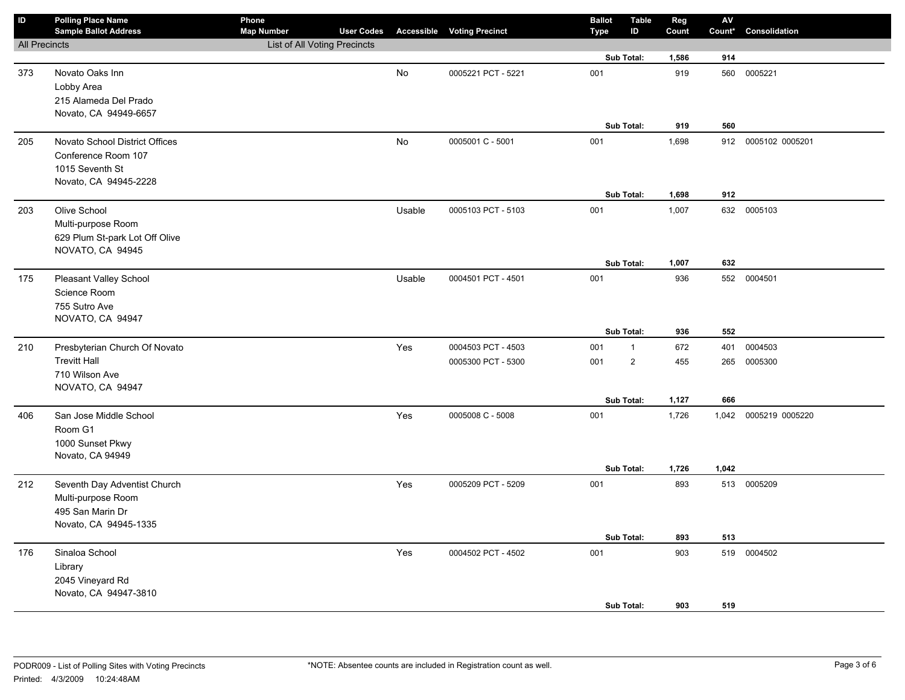| $\mathsf{ID}$        | <b>Polling Place Name</b><br><b>Sample Ballot Address</b> | Phone<br><b>Map Number</b>   | <b>User Codes</b> |           | <b>Accessible Voting Precinct</b> | <b>Ballot</b><br>Type | <b>Table</b><br>ID | Reg<br>Count | ${\sf AV}$<br>Count* | Consolidation       |
|----------------------|-----------------------------------------------------------|------------------------------|-------------------|-----------|-----------------------------------|-----------------------|--------------------|--------------|----------------------|---------------------|
| <b>All Precincts</b> |                                                           | List of All Voting Precincts |                   |           |                                   |                       |                    |              |                      |                     |
|                      |                                                           |                              |                   |           |                                   |                       | Sub Total:         | 1,586        | 914                  |                     |
| 373                  | Novato Oaks Inn                                           |                              |                   | <b>No</b> | 0005221 PCT - 5221                | 001                   |                    | 919          | 560                  | 0005221             |
|                      | Lobby Area                                                |                              |                   |           |                                   |                       |                    |              |                      |                     |
|                      | 215 Alameda Del Prado                                     |                              |                   |           |                                   |                       |                    |              |                      |                     |
|                      | Novato, CA 94949-6657                                     |                              |                   |           |                                   |                       |                    |              |                      |                     |
|                      |                                                           |                              |                   |           |                                   |                       | Sub Total:         | 919          | 560                  |                     |
| 205                  | Novato School District Offices                            |                              |                   | No        | 0005001 C - 5001                  | 001                   |                    | 1,698        |                      | 912 0005102 0005201 |
|                      | Conference Room 107                                       |                              |                   |           |                                   |                       |                    |              |                      |                     |
|                      | 1015 Seventh St                                           |                              |                   |           |                                   |                       |                    |              |                      |                     |
|                      | Novato, CA 94945-2228                                     |                              |                   |           |                                   |                       | Sub Total:         | 1,698        | 912                  |                     |
|                      |                                                           |                              |                   |           |                                   |                       |                    |              |                      |                     |
| 203                  | Olive School                                              |                              |                   | Usable    | 0005103 PCT - 5103                | 001                   |                    | 1,007        | 632                  | 0005103             |
|                      | Multi-purpose Room<br>629 Plum St-park Lot Off Olive      |                              |                   |           |                                   |                       |                    |              |                      |                     |
|                      | NOVATO, CA 94945                                          |                              |                   |           |                                   |                       |                    |              |                      |                     |
|                      |                                                           |                              |                   |           |                                   |                       | Sub Total:         | 1,007        | 632                  |                     |
| 175                  | Pleasant Valley School                                    |                              |                   | Usable    | 0004501 PCT - 4501                | 001                   |                    | 936          |                      | 552 0004501         |
|                      | Science Room                                              |                              |                   |           |                                   |                       |                    |              |                      |                     |
|                      | 755 Sutro Ave                                             |                              |                   |           |                                   |                       |                    |              |                      |                     |
|                      | NOVATO, CA 94947                                          |                              |                   |           |                                   |                       |                    |              |                      |                     |
|                      |                                                           |                              |                   |           |                                   |                       | Sub Total:         | 936          | 552                  |                     |
| 210                  | Presbyterian Church Of Novato                             |                              |                   | Yes       | 0004503 PCT - 4503                | 001                   | $\mathbf{1}$       | 672          | 401                  | 0004503             |
|                      | <b>Trevitt Hall</b>                                       |                              |                   |           | 0005300 PCT - 5300                | 001                   | $\overline{2}$     | 455          | 265                  | 0005300             |
|                      | 710 Wilson Ave                                            |                              |                   |           |                                   |                       |                    |              |                      |                     |
|                      | NOVATO, CA 94947                                          |                              |                   |           |                                   |                       |                    |              |                      |                     |
|                      |                                                           |                              |                   |           |                                   |                       | Sub Total:         | 1,127        | 666                  |                     |
| 406                  | San Jose Middle School                                    |                              |                   | Yes       | 0005008 C - 5008                  | 001                   |                    | 1,726        | 1,042                | 0005219 0005220     |
|                      | Room G1                                                   |                              |                   |           |                                   |                       |                    |              |                      |                     |
|                      | 1000 Sunset Pkwy<br>Novato, CA 94949                      |                              |                   |           |                                   |                       |                    |              |                      |                     |
|                      |                                                           |                              |                   |           |                                   |                       | Sub Total:         | 1,726        | 1,042                |                     |
| 212                  | Seventh Day Adventist Church                              |                              |                   | Yes       | 0005209 PCT - 5209                | 001                   |                    | 893          |                      | 513 0005209         |
|                      | Multi-purpose Room                                        |                              |                   |           |                                   |                       |                    |              |                      |                     |
|                      | 495 San Marin Dr                                          |                              |                   |           |                                   |                       |                    |              |                      |                     |
|                      | Novato, CA 94945-1335                                     |                              |                   |           |                                   |                       |                    |              |                      |                     |
|                      |                                                           |                              |                   |           |                                   |                       | Sub Total:         | 893          | 513                  |                     |
| 176                  | Sinaloa School                                            |                              |                   | Yes       | 0004502 PCT - 4502                | 001                   |                    | 903          | 519                  | 0004502             |
|                      | Library                                                   |                              |                   |           |                                   |                       |                    |              |                      |                     |
|                      | 2045 Vineyard Rd                                          |                              |                   |           |                                   |                       |                    |              |                      |                     |
|                      | Novato, CA 94947-3810                                     |                              |                   |           |                                   |                       |                    |              |                      |                     |
|                      |                                                           |                              |                   |           |                                   |                       | Sub Total:         | 903          | 519                  |                     |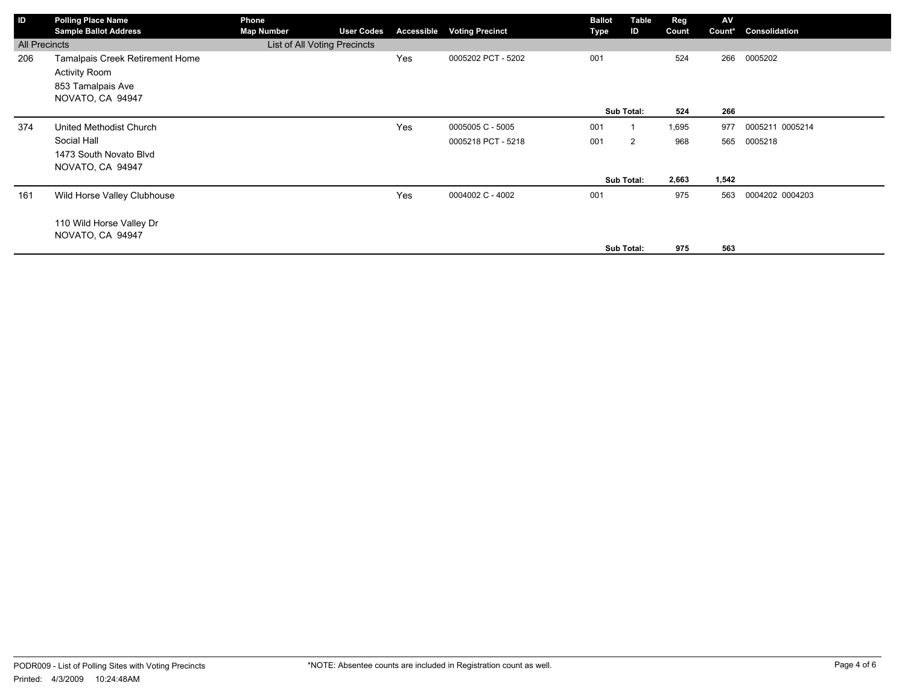| ID                   | <b>Polling Place Name</b>       | Phone                        |                   |                   |                        | <b>Ballot</b> | Table      | Reg   | AV     |                 |
|----------------------|---------------------------------|------------------------------|-------------------|-------------------|------------------------|---------------|------------|-------|--------|-----------------|
|                      | <b>Sample Ballot Address</b>    | <b>Map Number</b>            | <b>User Codes</b> | <b>Accessible</b> | <b>Voting Precinct</b> | Type          | ID         | Count | Count* | Consolidation   |
| <b>All Precincts</b> |                                 | List of All Voting Precincts |                   |                   |                        |               |            |       |        |                 |
| 206                  | Tamalpais Creek Retirement Home |                              |                   | Yes               | 0005202 PCT - 5202     | 001           |            | 524   | 266    | 0005202         |
|                      | <b>Activity Room</b>            |                              |                   |                   |                        |               |            |       |        |                 |
|                      | 853 Tamalpais Ave               |                              |                   |                   |                        |               |            |       |        |                 |
|                      | NOVATO, CA 94947                |                              |                   |                   |                        |               |            |       |        |                 |
|                      |                                 |                              |                   |                   |                        |               | Sub Total: | 524   | 266    |                 |
| 374                  | United Methodist Church         |                              |                   | Yes               | 0005005 C - 5005       | 001           |            | 1,695 | 977    | 0005211 0005214 |
|                      | Social Hall                     |                              |                   |                   | 0005218 PCT - 5218     | 001           | 2          | 968   | 565    | 0005218         |
|                      | 1473 South Novato Blvd          |                              |                   |                   |                        |               |            |       |        |                 |
|                      | NOVATO, CA 94947                |                              |                   |                   |                        |               |            |       |        |                 |
|                      |                                 |                              |                   |                   |                        |               | Sub Total: | 2,663 | 1,542  |                 |
| 161                  | Wild Horse Valley Clubhouse     |                              |                   | Yes               | 0004002 C - 4002       | 001           |            | 975   | 563    | 0004202 0004203 |
|                      |                                 |                              |                   |                   |                        |               |            |       |        |                 |
|                      | 110 Wild Horse Valley Dr        |                              |                   |                   |                        |               |            |       |        |                 |
|                      | NOVATO, CA 94947                |                              |                   |                   |                        |               |            |       |        |                 |
|                      |                                 |                              |                   |                   |                        |               | Sub Total: | 975   | 563    |                 |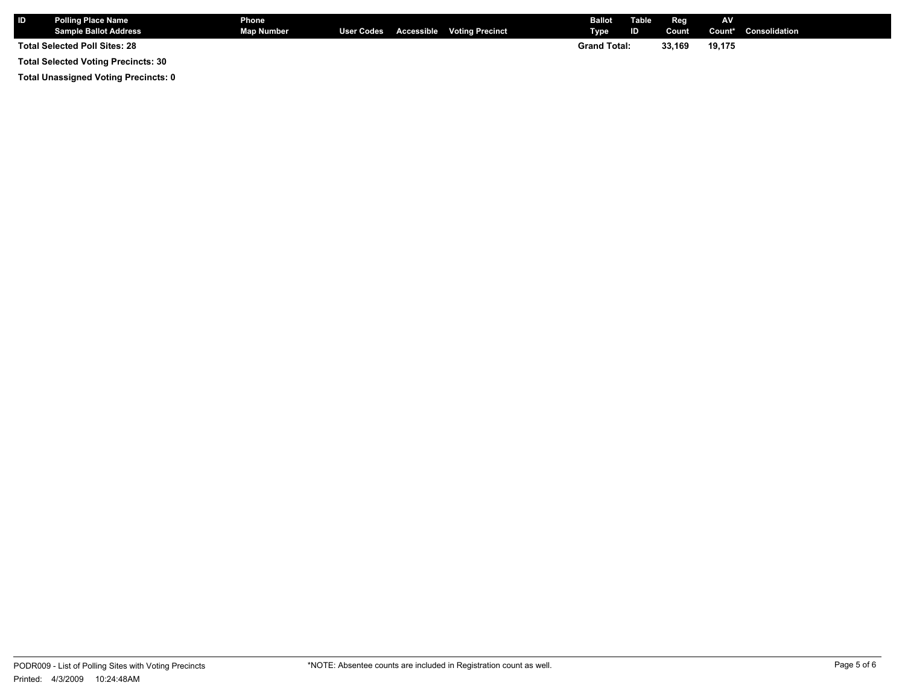| <b>ID</b> | <b>Polling Place Name</b><br>Sample Ballot Address | Phone<br><b>Map Number</b> |  | User Codes Accessible Voting Precinct | <b>Ballot</b><br>Type | Table<br>ID | Reg<br>Count | AV     | Count* Consolidation |
|-----------|----------------------------------------------------|----------------------------|--|---------------------------------------|-----------------------|-------------|--------------|--------|----------------------|
|           | <b>Total Selected Poll Sites: 28</b>               |                            |  |                                       | <b>Grand Total:</b>   |             | 33,169       | 19,175 |                      |

**Total Selected Voting Precincts: 30**

**Total Unassigned Voting Precincts: 0**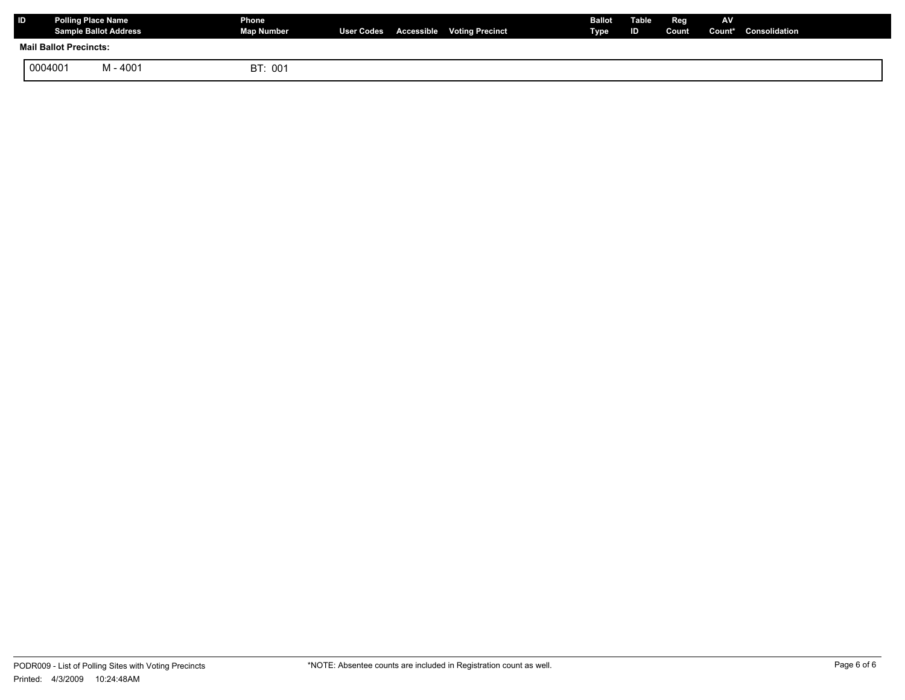| ID | Polling Place Name            | <b>Sample Ballot Address</b> | Phone<br>Map Number |  | User Codes Accessible Voting Precinct | Ballot<br><b>Type</b> | Table<br>ID. | Reg | <b>AV</b> | Count Count* Consolidation |
|----|-------------------------------|------------------------------|---------------------|--|---------------------------------------|-----------------------|--------------|-----|-----------|----------------------------|
|    | <b>Mail Ballot Precincts:</b> |                              |                     |  |                                       |                       |              |     |           |                            |
|    | 0004001                       | M - 4001                     | BT: 001             |  |                                       |                       |              |     |           |                            |